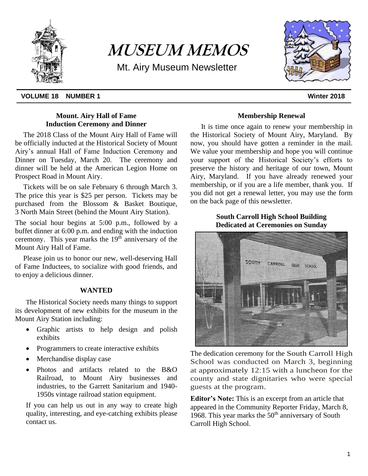

# **MUSEUM MEMOS**

Mt. Airy Museum Newsletter



# **VOLUME 18 NUMBER 1 Winter 2018**

#### **Mount. Airy Hall of Fame Induction Ceremony and Dinner**

The 2018 Class of the Mount Airy Hall of Fame will be officially inducted at the Historical Society of Mount Airy's annual Hall of Fame Induction Ceremony and Dinner on Tuesday, March 20. The ceremony and dinner will be held at the American Legion Home on Prospect Road in Mount Airy.

Tickets will be on sale February 6 through March 3. The price this year is \$25 per person. Tickets may be purchased from the Blossom & Basket Boutique, 3 North Main Street (behind the Mount Airy Station).

The social hour begins at 5:00 p.m., followed by a buffet dinner at 6:00 p.m. and ending with the induction ceremony. This year marks the 19<sup>th</sup> anniversary of the Mount Airy Hall of Fame.

Please join us to honor our new, well-deserving Hall of Fame Inductees, to socialize with good friends, and to enjoy a delicious dinner.

#### **WANTED**

The Historical Society needs many things to support its development of new exhibits for the museum in the Mount Airy Station including:

- Graphic artists to help design and polish exhibits
- Programmers to create interactive exhibits
- Merchandise display case
- Photos and artifacts related to the B&O Railroad, to Mount Airy businesses and industries, to the Garrett Sanitarium and 1940- 1950s vintage railroad station equipment.

If you can help us out in any way to create high quality, interesting, and eye-catching exhibits please contact us.

#### **Membership Renewal**

It is time once again to renew your membership in the Historical Society of Mount Airy, Maryland. By now, you should have gotten a reminder in the mail. We value your membership and hope you will continue your support of the Historical Society's efforts to preserve the history and heritage of our town, Mount Airy, Maryland. If you have already renewed your membership, or if you are a life member, thank you. If you did not get a renewal letter, you may use the form on the back page of this newsletter.

#### **South Carroll High School Building Dedicated at Ceremonies on Sunday**



The dedication ceremony for the South Carroll High School was conducted on March 3, beginning at approximately 12:15 with a luncheon for the county and state dignitaries who were special guests at the program.

**Editor's Note:** This is an excerpt from an article that appeared in the Community Reporter Friday, March 8, 1968. This year marks the  $50<sup>th</sup>$  anniversary of South Carroll High School.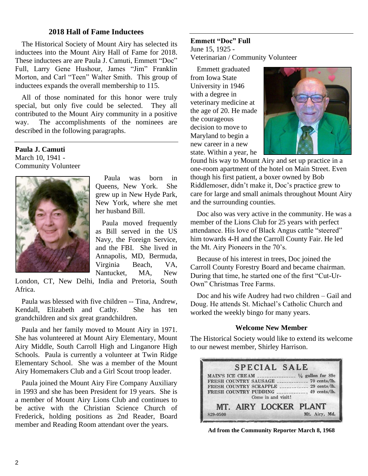# **2018 Hall of Fame Inductees**

The Historical Society of Mount Airy has selected its inductees into the Mount Airy Hall of Fame for 2018. These inductees are are Paula J. Camuti, Emmett "Doc" Full, Larry Gene Hushour, James "Jim" Franklin Morton, and Carl "Teen" Walter Smith. This group of inductees expands the overall membership to 115.

All of those nominated for this honor were truly special, but only five could be selected. They all contributed to the Mount Airy community in a positive way. The accomplishments of the nominees are described in the following paragraphs.

**Paula J. Camuti** March 10, 1941 - Community Volunteer



Paula was born in Queens, New York. She grew up in New Hyde Park, New York, where she met her husband Bill.

Paula moved frequently as Bill served in the US Navy, the Foreign Service, and the FBI. She lived in Annapolis, MD, Bermuda, Virginia Beach, VA, Nantucket, MA, New

London, CT, New Delhi, India and Pretoria, South Africa.

Paula was blessed with five children -- Tina, Andrew, Kendall, Elizabeth and Cathy. She has ten grandchildren and six great grandchildren.

Paula and her family moved to Mount Airy in 1971. She has volunteered at Mount Airy Elementary, Mount Airy Middle, South Carroll High and Linganore High Schools. Paula is currently a volunteer at Twin Ridge Elementary School. She was a member of the Mount Airy Homemakers Club and a Girl Scout troop leader.

Paula joined the Mount Airy Fire Company Auxiliary in 1993 and she has been President for 19 years. She is a member of Mount Airy Lions Club and continues to be active with the Christian Science Church of Frederick, holding positions as 2nd Reader, Board member and Reading Room attendant over the years.

## **Emmett "Doc" Full** June 15, 1925 - Veterinarian / Community Volunteer

Emmett graduated from Iowa State University in 1946 with a degree in veterinary medicine at the age of 20. He made the courageous decision to move to Maryland to begin a new career in a new state. Within a year, he



found his way to Mount Airy and set up practice in a one-room apartment of the hotel on Main Street. Even though his first patient, a boxer owned by Bob Riddlemoser, didn't make it, Doc's practice grew to care for large and small animals throughout Mount Airy and the surrounding counties.

Doc also was very active in the community. He was a member of the Lions Club for 25 years with perfect attendance. His love of Black Angus cattle "steered" him towards 4-H and the Carroll County Fair. He led the Mt. Airy Pioneers in the 70's.

Because of his interest in trees, Doc joined the Carroll County Forestry Board and became chairman. During that time, he started one of the first "Cut-Ur-Own" Christmas Tree Farms.

Doc and his wife Audrey had two children – Gail and Doug. He attends St. Michael's Catholic Church and worked the weekly bingo for many years.

#### **Welcome New Member**

The Historical Society would like to extend its welcome to our newest member, Shirley Harrison.

| SPECIAL SALE                                                                                                                                                                                                                             |               |
|------------------------------------------------------------------------------------------------------------------------------------------------------------------------------------------------------------------------------------------|---------------|
| MAIN'S ICE CREAM _____________ $\frac{1}{2}$ gallon for 89c<br>FRESH COUNTRY SAUSAGE ____________ 70 cents/lb.<br>FRESH COUNTRY SCRAPPLE __________ 29 cents/lb.<br>FRESH COUNTRY PUDDING ___________ 49 cents/lb.<br>Come in and visit! |               |
| MT. AIRY LOCKER PLANT<br>829-0500                                                                                                                                                                                                        | Mt. Airy, Md. |

#### **Ad from the Community Reporter March 8, 1968**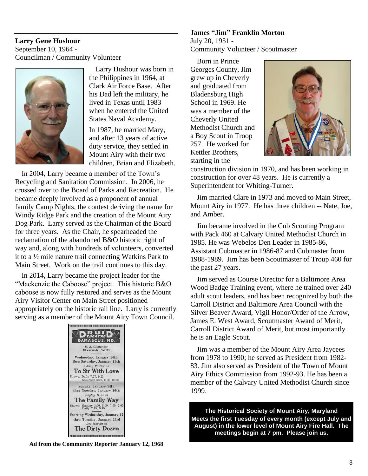# **Larry Gene Hushour** September 10, 1964 - Councilman / Community Volunteer



Larry Hushour was born in the Philippines in 1964, at Clark Air Force Base. After his Dad left the military, he lived in Texas until 1983 when he entered the United States Naval Academy.

In 1987, he married Mary, and after 13 years of active duty service, they settled in Mount Airy with their two children, Brian and Elizabeth.

In 2004, Larry became a member of the Town's Recycling and Sanitation Commission. In 2006, he crossed over to the Board of Parks and Recreation. He became deeply involved as a proponent of annual family Camp Nights, the contest deriving the name for Windy Ridge Park and the creation of the Mount Airy Dog Park. Larry served as the Chairman of the Board for three years. As the Chair, he spearheaded the reclamation of the abandoned B&O historic right of way and, along with hundreds of volunteers, converted it to a ½ mile nature trail connecting Watkins Park to Main Street. Work on the trail continues to this day.

In 2014, Larry became the project leader for the "Mackenzie the Caboose" project. This historic B&O caboose is now fully restored and serves as the Mount Airy Visitor Center on Main Street positioned appropriately on the historic rail line. Larry is currently serving as a member of the Mount Airy Town Council.



**Ad from the Community Reporter January 12, 1968**

## **James "Jim" Franklin Morton** July 20, 1951 - Community Volunteer / Scoutmaster

Born in Prince Georges County, Jim grew up in Cheverly and graduated from Bladensburg High School in 1969. He was a member of the Cheverly United Methodist Church and a Boy Scout in Troop 257. He worked for Kettler Brothers, starting in the



construction division in 1970, and has been working in construction for over 48 years. He is currently a Superintendent for Whiting-Turner.

Jim married Clare in 1973 and moved to Main Street, Mount Airy in 1977. He has three children -- Nate, Joe, and Amber.

Jim became involved in the Cub Scouting Program with Pack 460 at Calvary United Methodist Church in 1985. He was Webelos Den Leader in 1985-86, Assistant Cubmaster in 1986-87 and Cubmaster from 1988-1989. Jim has been Scoutmaster of Troup 460 for the past 27 years.

Jim served as Course Director for a Baltimore Area Wood Badge Training event, where he trained over 240 adult scout leaders, and has been recognized by both the Carroll District and Baltimore Area Council with the Silver Beaver Award, Vigil Honor/Order of the Arrow, James E. West Award, Scoutmaster Award of Merit, Carroll District Award of Merit, but most importantly he is an Eagle Scout.

Jim was a member of the Mount Airy Area Jaycees from 1978 to 1990; he served as President from 1982- 83. Jim also served as President of the Town of Mount Airy Ethics Commission from 1992-93. He has been a member of the Calvary United Methodist Church since 1999.

**The Historical Society of Mount Airy, Maryland Meets the first Tuesday of every month (except July and August) in the lower level of Mount Airy Fire Hall. The meetings begin at 7 pm. Please join us.**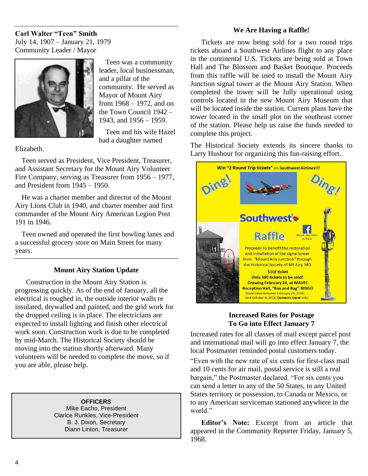# **Carl Walter "Teen" Smith** July 14, 1907 – January 21, 1979 Community Leader / Mayor



Teen was a community leader, local businessman, and a pillar of the community. He served as Mayor of Mount Airy from 1968 – 1972, and on the Town Council 1942 – 1943, and 1956 – 1959.

Teen and his wife Hazel had a daughter named

# Elizabeth.

Teen served as President, Vice President, Treasurer, and Assistant Secretary for the Mount Airy Volunteer Fire Company, serving as Treasurer from 1956 – 1977, and President from 1945 – 1950.

He was a charter member and director of the Mount Airy Lions Club in 1940, and charter member and first commander of the Mount Airy American Legion Post 191 in 1946.

Teen owned and operated the first bowling lanes and a successful grocery store on Main Street for many years.

# **Mount Airy Station Update**

Construction in the Mount Airy Station is progressing quickly. As of the end of January, all the electrical is roughed in, the outside interior walls re insulated, drywalled and painted, and the grid work for the dropped ceiling is in place. The electricians are expected to install lighting and finish other electrical work soon. Construction work is due to be completed by mid-March. The Historical Society should be moving into the station shortly afterward. Many volunteers will be needed to complete the move, so if you are able, please help.

#### **OFFICERS** Mike Eacho, President

Clarice Runkles, Vice-President B. J. Dixon, Secretary Diann Linton, Treasurer

#### **We Are Having a Raffle!**

Tickets are now being sold for a two round trips tickets aboard a Southwest Airlines flight to any place in the continental U.S. Tickets are being sold at Town Hall and The Blossom and Basket Boutique. Proceeds from this raffle will be used to install the Mount Airy Junction signal tower at the Mount Airy Station. When completed the tower will be fully operational using controls located in the new Mount Airy Museum that will be located inside the station. Current plans have the tower located in the small plot on the southeast corner of the station. Please help us raise the funds needed to complete this project.

The Historical Society extends its sincere thanks to Larry Hushour for organizing this fun-raising effort.



#### **Increased Rates for Postage To Go into Effect January 7**

Increased rates for all classes of mail except parcel post and international mail will go into effect January 7, the local Postmaster reminded postal customers today.

"Even with the new rate of six cents for first-class mail and 10 cents for air mail, postal service is still a real bargain," the Postmaster declared. "For six cents you can send a letter to any of the 50 States, to any United States territory or possession, to Canada or Mexico, or to any American serviceman stationed anywhere in the world."

**Editor's Note:** Excerpt from an article that appeared in the Community Reporter Friday, January 5, 1968.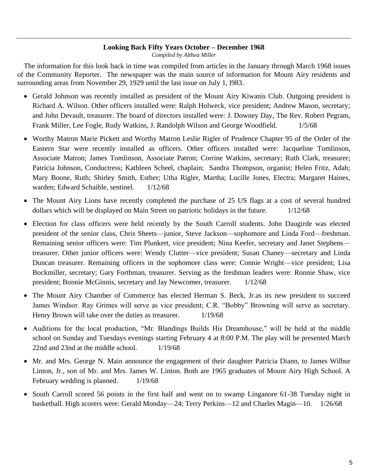## **Looking Back Fifty Years October – December 1968**

*Compiled by Althea Miller*

The information for this look back in time was compiled from articles in the January through March 1968 issues of the Community Reporter. The newspaper was the main source of information for Mount Airy residents and surrounding areas from November 29, 1929 until the last issue on July 1, l983.

- Gerald Johnson was recently installed as president of the Mount Airy Kiwanis Club. Outgoing president is Richard A. Wilson. Other officers installed were: Ralph Holweck, vice president; Andrew Mason, secretary; and John Devault, treasurer. The board of directors installed were: J. Downey Day, The Rev. Robert Pegram, Frank Miller, Lee Fogle, Rudy Watkins, J. Randolph Wilson and George Woodfield. 1/5/68
- Worthy Matron Marie Pickett and Worthy Matron Leslie Rigler of Prudence Chapter 95 of the Order of the Eastern Star were recently installed as officers. Other officers installed were: Jacqueline Tomlinson, Associate Matron; James Tomlinson, Associate Patron; Corrine Watkins, secretary; Ruth Clark, treasurer; Patricia Johnson, Conductress; Kathleen Scheel, chaplain; Sandra Thompson, organist; Helen Fritz, Adah; Mary Boone, Ruth; Shirley Smith, Esther; Utha Rigler, Martha; Lucille Jones, Electra; Margaret Haines, warden; Edward Schaible, sentinel. 1/12/68
- The Mount Airy Lions have recently completed the purchase of 25 US flags at a cost of several hundred dollars which will be displayed on Main Street on patriotic holidays in the future. 1/12/68
- Election for class officers were held recently by the South Carroll students. John Daugirde was elected president of the senior class, Chris Sheets—junior, Steve Jackson—sophomore and Linda Ford—freshman. Remaining senior officers were: Tim Plunkert, vice president; Nina Keefer, secretary and Janet Stephens treasurer. Other junior officers were: Wendy Clutter—vice president; Susan Chaney—secretary and Linda Duncan treasurer. Remaining officers in the sophomore class were: Connie Wright—vice president; Lisa Bockmiller, secretary; Gary Forthman, treasurer. Serving as the freshman leaders were: Ronnie Shaw, vice president; Bonnie McGinnis, secretary and Jay Newcomer, treasurer. 1/12/68
- The Mount Airy Chamber of Commerce has elected Herman S. Beck, Jr.as its new president to succeed James Windsor. Ray Grimes will serve as vice president; C.R. "Bobby" Browning will serve as secretary. Henry Brown will take over the duties as treasurer. 1/19/68
- Auditions for the local production, "Mr. Blandings Builds His Dreamhouse," will be held at the middle school on Sunday and Tuesdays evenings starting February 4 at 8:00 P.M. The play will be presented March 22nd and 23nd at the middle school.  $1/19/68$
- Mr. and Mrs. George N. Main announce the engagement of their daughter Patricia Diann, to James Wilbur Linton, Jr., son of Mr. and Mrs. James W. Linton. Both are 1965 graduates of Mount Airy High School. A February wedding is planned. 1/19/68
- South Carroll scored 56 points in the first half and went on to swamp Linganore 61-38 Tuesday night in basketball. High scorers were: Gerald Monday—24; Terry Perkins—12 and Charles Magin—10. 1/26/68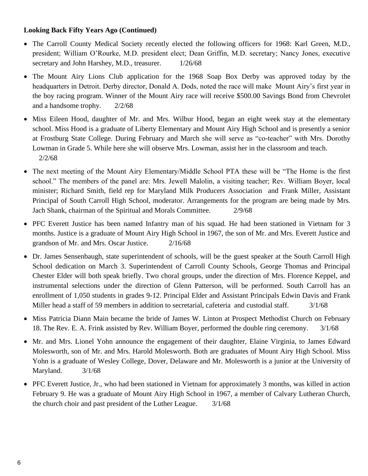# **Looking Back Fifty Years Ago (Continued)**

- The Carroll County Medical Society recently elected the following officers for 1968: Karl Green, M.D., president; William O'Rourke, M.D. president elect; Dean Griffin, M.D. secretary; Nancy Jones, executive secretary and John Harshey, M.D., treasurer. 1/26/68
- The Mount Airy Lions Club application for the 1968 Soap Box Derby was approved today by the headquarters in Detroit. Derby director, Donald A. Dods, noted the race will make Mount Airy's first year in the boy racing program. Winner of the Mount Airy race will receive \$500.00 Savings Bond from Chevrolet and a handsome trophy. 2/2/68
- Miss Eileen Hood, daughter of Mr. and Mrs. Wilbur Hood, began an eight week stay at the elementary school. Miss Hood is a graduate of Liberty Elementary and Mount Airy High School and is presently a senior at Frostburg State College. During February and March she will serve as "co-teacher" with Mrs. Dorothy Lowman in Grade 5. While here she will observe Mrs. Lowman, assist her in the classroom and teach. 2/2/68
- The next meeting of the Mount Airy Elementary/Middle School PTA these will be "The Home is the first school." The members of the panel are: Mrs. Jewell Malolin, a visiting teacher; Rev. William Boyer, local minister; Richard Smith, field rep for Maryland Milk Producers Association and Frank Miller, Assistant Principal of South Carroll High School, moderator. Arrangements for the program are being made by Mrs. Jach Shank, chairman of the Spiritual and Morals Committee. 2/9/68
- PFC Everett Justice has been named Infantry man of his squad. He had been stationed in Vietnam for 3 months. Justice is a graduate of Mount Airy High School in 1967, the son of Mr. and Mrs. Everett Justice and grandson of Mr. and Mrs. Oscar Justice. 2/16/68
- Dr. James Sensenbaugh, state superintendent of schools, will be the guest speaker at the South Carroll High School dedication on March 3. Superintendent of Carroll County Schools, George Thomas and Principal Chester Elder will both speak briefly. Two choral groups, under the direction of Mrs. Florence Keppel, and instrumental selections under the direction of Glenn Patterson, will be performed. South Carroll has an enrollment of 1,050 students in grades 9-12. Principal Elder and Assistant Principals Edwin Davis and Frank Miller head a staff of 59 members in addition to secretarial, cafeteria and custodial staff.  $3/1/68$
- Miss Patricia Diann Main became the bride of James W. Linton at Prospect Methodist Church on February 18. The Rev. E. A. Frink assisted by Rev. William Boyer, performed the double ring ceremony. 3/1/68
- Mr. and Mrs. Lionel Yohn announce the engagement of their daughter, Elaine Virginia, to James Edward Molesworth, son of Mr. and Mrs. Harold Molesworth. Both are graduates of Mount Airy High School. Miss Yohn is a graduate of Wesley College, Dover, Delaware and Mr. Molesworth is a junior at the University of Maryland. 3/1/68
- PFC Everett Justice, Jr., who had been stationed in Vietnam for approximately 3 months, was killed in action February 9. He was a graduate of Mount Airy High School in 1967, a member of Calvary Lutheran Church, the church choir and past president of the Luther League. 3/1/68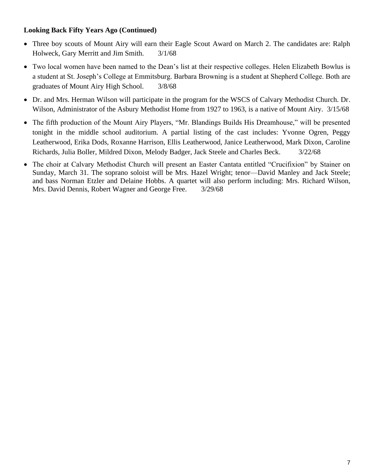# **Looking Back Fifty Years Ago (Continued)**

- Three boy scouts of Mount Airy will earn their Eagle Scout Award on March 2. The candidates are: Ralph Holweck, Gary Merritt and Jim Smith. 3/1/68
- Two local women have been named to the Dean's list at their respective colleges. Helen Elizabeth Bowlus is a student at St. Joseph's College at Emmitsburg. Barbara Browning is a student at Shepherd College. Both are graduates of Mount Airy High School. 3/8/68
- Dr. and Mrs. Herman Wilson will participate in the program for the WSCS of Calvary Methodist Church. Dr. Wilson, Administrator of the Asbury Methodist Home from 1927 to 1963, is a native of Mount Airy. 3/15/68
- The fifth production of the Mount Airy Players, "Mr. Blandings Builds His Dreamhouse," will be presented tonight in the middle school auditorium. A partial listing of the cast includes: Yvonne Ogren, Peggy Leatherwood, Erika Dods, Roxanne Harrison, Ellis Leatherwood, Janice Leatherwood, Mark Dixon, Caroline Richards, Julia Boller, Mildred Dixon, Melody Badger, Jack Steele and Charles Beck. 3/22/68
- The choir at Calvary Methodist Church will present an Easter Cantata entitled "Crucifixion" by Stainer on Sunday, March 31. The soprano soloist will be Mrs. Hazel Wright; tenor—David Manley and Jack Steele; and bass Norman Etzler and Delaine Hobbs. A quartet will also perform including: Mrs. Richard Wilson, Mrs. David Dennis, Robert Wagner and George Free. 3/29/68